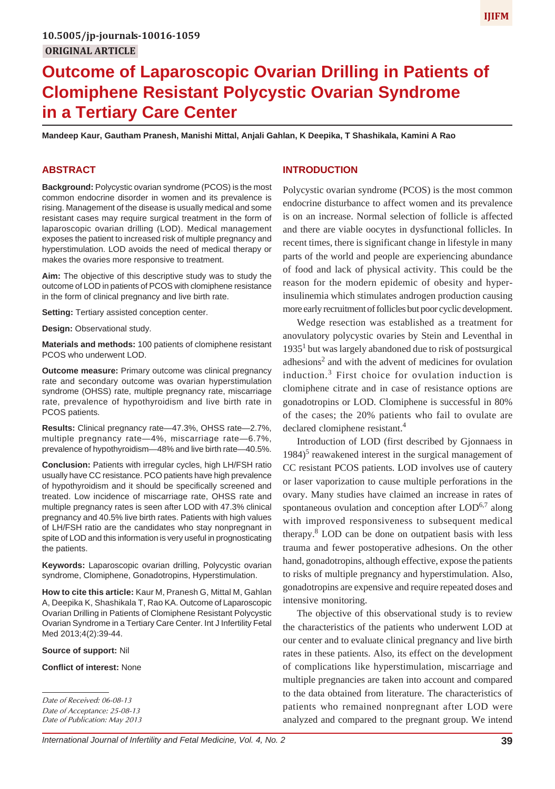# **Outcome of Laparoscopic Ovarian Drilling in Patients of Clomiphene Resistant Polycystic Ovarian Syndrome in a Tertiary Care Center**

**Mandeep Kaur, Gautham Pranesh, Manishi Mittal, Anjali Gahlan, K Deepika, T Shashikala, Kamini A Rao**

#### **ABSTRACT**

**Background:** Polycystic ovarian syndrome (PCOS) is the most common endocrine disorder in women and its prevalence is rising. Management of the disease is usually medical and some resistant cases may require surgical treatment in the form of laparoscopic ovarian drilling (LOD). Medical management exposes the patient to increased risk of multiple pregnancy and hyperstimulation. LOD avoids the need of medical therapy or makes the ovaries more responsive to treatment.

**Aim:** The objective of this descriptive study was to study the outcome of LOD in patients of PCOS with clomiphene resistance in the form of clinical pregnancy and live birth rate.

**Setting:** Tertiary assisted conception center.

**Design:** Observational study.

**Materials and methods:** 100 patients of clomiphene resistant PCOS who underwent LOD.

**Outcome measure:** Primary outcome was clinical pregnancy rate and secondary outcome was ovarian hyperstimulation syndrome (OHSS) rate, multiple pregnancy rate, miscarriage rate, prevalence of hypothyroidism and live birth rate in PCOS patients.

**Results:** Clinical pregnancy rate—47.3%, OHSS rate—2.7%, multiple pregnancy rate—4%, miscarriage rate—6.7%, prevalence of hypothyroidism—48% and live birth rate—40.5%.

**Conclusion:** Patients with irregular cycles, high LH/FSH ratio usually have CC resistance. PCO patients have high prevalence of hypothyroidism and it should be specifically screened and treated. Low incidence of miscarriage rate, OHSS rate and multiple pregnancy rates is seen after LOD with 47.3% clinical pregnancy and 40.5% live birth rates. Patients with high values of LH/FSH ratio are the candidates who stay nonpregnant in spite of LOD and this information is very useful in prognosticating the patients.

**Keywords:** Laparoscopic ovarian drilling, Polycystic ovarian syndrome, Clomiphene, Gonadotropins, Hyperstimulation.

**How to cite this article:** Kaur M, Pranesh G, Mittal M, Gahlan A, Deepika K, Shashikala T, Rao KA. Outcome of Laparoscopic Ovarian Drilling in Patients of Clomiphene Resistant Polycystic Ovarian Syndrome in a Tertiary Care Center. Int J Infertility Fetal Med 2013;4(2):39-44.

#### **Source of support:** Nil

**Conflict of interest:** None

### **INTRODUCTION**

Polycystic ovarian syndrome (PCOS) is the most common endocrine disturbance to affect women and its prevalence is on an increase. Normal selection of follicle is affected and there are viable oocytes in dysfunctional follicles. In recent times, there is significant change in lifestyle in many parts of the world and people are experiencing abundance of food and lack of physical activity. This could be the reason for the modern epidemic of obesity and hyperinsulinemia which stimulates androgen production causing more early recruitment of follicles but poor cyclic development.

Wedge resection was established as a treatment for anovulatory polycystic ovaries by Stein and Leventhal in  $1935<sup>1</sup>$  but was largely abandoned due to risk of postsurgical adhesions<sup>2</sup> and with the advent of medicines for ovulation induction.<sup>3</sup> First choice for ovulation induction is clomiphene citrate and in case of resistance options are gonadotropins or LOD. Clomiphene is successful in 80% of the cases; the 20% patients who fail to ovulate are declared clomiphene resistant.<sup>4</sup>

Introduction of LOD (first described by Gjonnaess in 1984)<sup>5</sup> reawakened interest in the surgical management of CC resistant PCOS patients. LOD involves use of cautery or laser vaporization to cause multiple perforations in the ovary. Many studies have claimed an increase in rates of spontaneous ovulation and conception after  $LOD<sup>6,7</sup>$  along with improved responsiveness to subsequent medical therapy.<sup>8</sup> LOD can be done on outpatient basis with less trauma and fewer postoperative adhesions. On the other hand, gonadotropins, although effective, expose the patients to risks of multiple pregnancy and hyperstimulation. Also, gonadotropins are expensive and require repeated doses and intensive monitoring.

The objective of this observational study is to review the characteristics of the patients who underwent LOD at our center and to evaluate clinical pregnancy and live birth rates in these patients. Also, its effect on the development of complications like hyperstimulation, miscarriage and multiple pregnancies are taken into account and compared to the data obtained from literature. The characteristics of patients who remained nonpregnant after LOD were analyzed and compared to the pregnant group. We intend

*Date of Received: 06-08-13 Date of Acceptance: 25-08-13 Date of Publication: May 2013*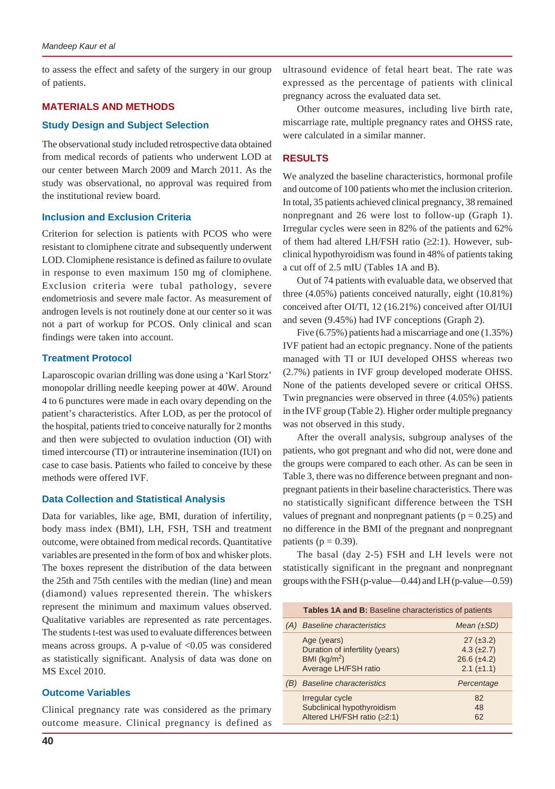to assess the effect and safety of the surgery in our group of patients.

# **MATERIALS AND METHODS**

#### **Study Design and Subject Selection**

The observational study included retrospective data obtained from medical records of patients who underwent LOD at our center between March 2009 and March 2011. As the study was observational, no approval was required from the institutional review board.

#### **Inclusion and Exclusion Criteria**

Criterion for selection is patients with PCOS who were resistant to clomiphene citrate and subsequently underwent LOD. Clomiphene resistance is defined as failure to ovulate in response to even maximum 150 mg of clomiphene. Exclusion criteria were tubal pathology, severe endometriosis and severe male factor. As measurement of androgen levels is not routinely done at our center so it was not a part of workup for PCOS. Only clinical and scan findings were taken into account.

#### **Treatment Protocol**

Laparoscopic ovarian drilling was done using a 'Karl Storz' monopolar drilling needle keeping power at 40W. Around 4 to 6 punctures were made in each ovary depending on the patient's characteristics. After LOD, as per the protocol of the hospital, patients tried to conceive naturally for 2 months and then were subjected to ovulation induction (OI) with timed intercourse (TI) or intrauterine insemination (IUI) on case to case basis. Patients who failed to conceive by these methods were offered IVF.

#### **Data Collection and Statistical Analysis**

Data for variables, like age, BMI, duration of infertility, body mass index (BMI), LH, FSH, TSH and treatment outcome, were obtained from medical records. Quantitative variables are presented in the form of box and whisker plots. The boxes represent the distribution of the data between the 25th and 75th centiles with the median (line) and mean (diamond) values represented therein. The whiskers represent the minimum and maximum values observed. Qualitative variables are represented as rate percentages. The students t-test was used to evaluate differences between means across groups. A p-value of  $< 0.05$  was considered as statistically significant. Analysis of data was done on MS Excel 2010.

# **Outcome Variables**

Clinical pregnancy rate was considered as the primary outcome measure. Clinical pregnancy is defined as ultrasound evidence of fetal heart beat. The rate was expressed as the percentage of patients with clinical pregnancy across the evaluated data set.

Other outcome measures, including live birth rate, miscarriage rate, multiple pregnancy rates and OHSS rate, were calculated in a similar manner.

# **RESULTS**

We analyzed the baseline characteristics, hormonal profile and outcome of 100 patients who met the inclusion criterion. In total, 35 patients achieved clinical pregnancy, 38 remained nonpregnant and 26 were lost to follow-up (Graph 1). Irregular cycles were seen in 82% of the patients and 62% of them had altered LH/FSH ratio  $(\geq 2:1)$ . However, subclinical hypothyroidism was found in 48% of patients taking a cut off of 2.5 mIU (Tables 1A and B).

Out of 74 patients with evaluable data, we observed that three (4.05%) patients conceived naturally, eight (10.81%) conceived after OI/TI, 12 (16.21%) conceived after OI/IUI and seven (9.45%) had IVF conceptions (Graph 2).

Five (6.75%) patients had a miscarriage and one (1.35%) IVF patient had an ectopic pregnancy. None of the patients managed with TI or IUI developed OHSS whereas two (2.7%) patients in IVF group developed moderate OHSS. None of the patients developed severe or critical OHSS. Twin pregnancies were observed in three (4.05%) patients in the IVF group (Table 2). Higher order multiple pregnancy was not observed in this study.

After the overall analysis, subgroup analyses of the patients, who got pregnant and who did not, were done and the groups were compared to each other. As can be seen in Table 3, there was no difference between pregnant and nonpregnant patients in their baseline characteristics. There was no statistically significant difference between the TSH values of pregnant and nonpregnant patients ( $p = 0.25$ ) and no difference in the BMI of the pregnant and nonpregnant patients ( $p = 0.39$ ).

The basal (day 2-5) FSH and LH levels were not statistically significant in the pregnant and nonpregnant groups with the FSH (p-value—0.44) and LH (p-value—0.59)

| Tables 1A and B: Baseline characteristics of patients                                     |                                                                          |  |
|-------------------------------------------------------------------------------------------|--------------------------------------------------------------------------|--|
| <b>Baseline characteristics</b>                                                           | Mean $(\pm SD)$                                                          |  |
| Age (years)<br>Duration of infertility (years)<br>BMI ( $kg/m2$ )<br>Average LH/FSH ratio | $27 (\pm 3.2)$<br>$4.3 (\pm 2.7)$<br>$26.6 (\pm 4.2)$<br>$2.1 (\pm 1.1)$ |  |
| <b>Baseline characteristics</b>                                                           | Percentage                                                               |  |
| Irregular cycle<br>Subclinical hypothyroidism<br>Altered LH/FSH ratio (≥2:1)              | 82<br>48<br>62                                                           |  |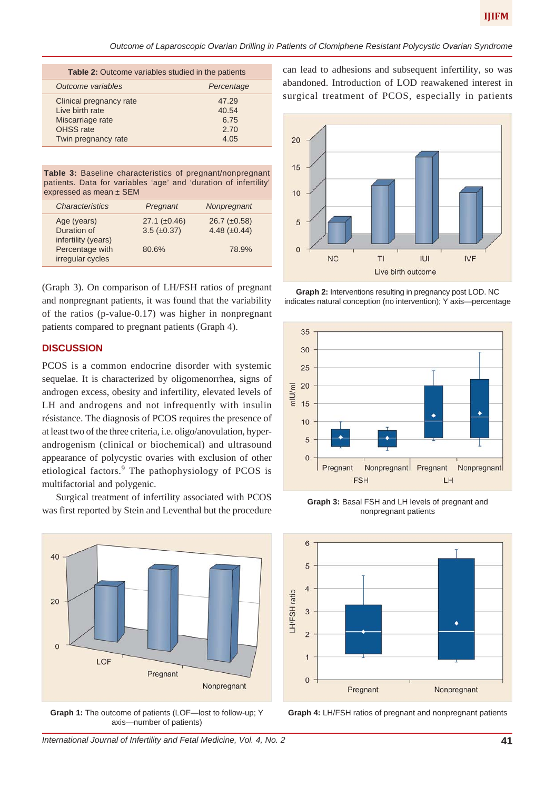| <b>Table 2:</b> Outcome variables studied in the patients                                                  |                                        |  |
|------------------------------------------------------------------------------------------------------------|----------------------------------------|--|
| Outcome variables                                                                                          | Percentage                             |  |
| Clinical pregnancy rate<br>I ive birth rate<br>Miscarriage rate<br><b>OHSS</b> rate<br>Twin pregnancy rate | 47.29<br>40.54<br>6.75<br>2.70<br>4.05 |  |

**Table 3:** Baseline characteristics of pregnant/nonpregnant patients. Data for variables 'age' and 'duration of infertility' expressed as mean ± SEM

| <b>Characteristics</b>                            | Pregnant                                | Nonpregnant                              |  |
|---------------------------------------------------|-----------------------------------------|------------------------------------------|--|
| Age (years)<br>Duration of<br>infertility (years) | $27.1 (\pm 0.46)$<br>$3.5 \ (\pm 0.37)$ | $26.7 \ (\pm 0.58)$<br>4.48 $(\pm 0.44)$ |  |
| Percentage with<br>irregular cycles               | 80.6%                                   | 78.9%                                    |  |

(Graph 3). On comparison of LH/FSH ratios of pregnant and nonpregnant patients, it was found that the variability of the ratios (p-value-0.17) was higher in nonpregnant patients compared to pregnant patients (Graph 4).

#### **DISCUSSION**

PCOS is a common endocrine disorder with systemic sequelae. It is characterized by oligomenorrhea, signs of androgen excess, obesity and infertility, elevated levels of LH and androgens and not infrequently with insulin résistance. The diagnosis of PCOS requires the presence of at least two of the three criteria, i.e. oligo/anovulation, hyperandrogenism (clinical or biochemical) and ultrasound appearance of polycystic ovaries with exclusion of other etiological factors.<sup>9</sup> The pathophysiology of PCOS is multifactorial and polygenic.

Surgical treatment of infertility associated with PCOS was first reported by Stein and Leventhal but the procedure



**Graph 1:** The outcome of patients (LOF—lost to follow-up; Y axis—number of patients)

can lead to adhesions and subsequent infertility, so was abandoned. Introduction of LOD reawakened interest in surgical treatment of PCOS, especially in patients



**Graph 2:** Interventions resulting in pregnancy post LOD. NC indicates natural conception (no intervention); Y axis—percentage



**Graph 3:** Basal FSH and LH levels of pregnant and nonpregnant patients



**Graph 4:** LH/FSH ratios of pregnant and nonpregnant patients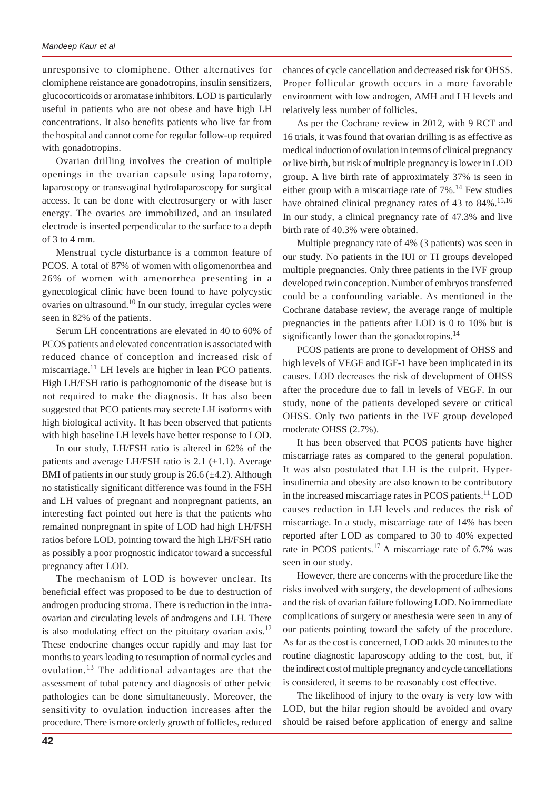unresponsive to clomiphene. Other alternatives for clomiphene reistance are gonadotropins, insulin sensitizers, glucocorticoids or aromatase inhibitors. LOD is particularly useful in patients who are not obese and have high LH concentrations. It also benefits patients who live far from the hospital and cannot come for regular follow-up required with gonadotropins.

Ovarian drilling involves the creation of multiple openings in the ovarian capsule using laparotomy, laparoscopy or transvaginal hydrolaparoscopy for surgical access. It can be done with electrosurgery or with laser energy. The ovaries are immobilized, and an insulated electrode is inserted perpendicular to the surface to a depth of 3 to 4 mm.

Menstrual cycle disturbance is a common feature of PCOS. A total of 87% of women with oligomenorrhea and 26% of women with amenorrhea presenting in a gynecological clinic have been found to have polycystic ovaries on ultrasound.10 In our study, irregular cycles were seen in 82% of the patients.

Serum LH concentrations are elevated in 40 to 60% of PCOS patients and elevated concentration is associated with reduced chance of conception and increased risk of miscarriage.<sup>11</sup> LH levels are higher in lean PCO patients. High LH/FSH ratio is pathognomonic of the disease but is not required to make the diagnosis. It has also been suggested that PCO patients may secrete LH isoforms with high biological activity. It has been observed that patients with high baseline LH levels have better response to LOD.

In our study, LH/FSH ratio is altered in 62% of the patients and average LH/FSH ratio is 2.1  $(\pm 1.1)$ . Average BMI of patients in our study group is  $26.6 \, (\pm 4.2)$ . Although no statistically significant difference was found in the FSH and LH values of pregnant and nonpregnant patients, an interesting fact pointed out here is that the patients who remained nonpregnant in spite of LOD had high LH/FSH ratios before LOD, pointing toward the high LH/FSH ratio as possibly a poor prognostic indicator toward a successful pregnancy after LOD.

The mechanism of LOD is however unclear. Its beneficial effect was proposed to be due to destruction of androgen producing stroma. There is reduction in the intraovarian and circulating levels of androgens and LH. There is also modulating effect on the pituitary ovarian axis.<sup>12</sup> These endocrine changes occur rapidly and may last for months to years leading to resumption of normal cycles and ovulation.13 The additional advantages are that the assessment of tubal patency and diagnosis of other pelvic pathologies can be done simultaneously. Moreover, the sensitivity to ovulation induction increases after the procedure. There is more orderly growth of follicles, reduced

chances of cycle cancellation and decreased risk for OHSS. Proper follicular growth occurs in a more favorable environment with low androgen, AMH and LH levels and relatively less number of follicles.

As per the Cochrane review in 2012, with 9 RCT and 16 trials, it was found that ovarian drilling is as effective as medical induction of ovulation in terms of clinical pregnancy or live birth, but risk of multiple pregnancy is lower in LOD group. A live birth rate of approximately 37% is seen in either group with a miscarriage rate of  $7\%$ .<sup>14</sup> Few studies have obtained clinical pregnancy rates of 43 to  $84\%$ .<sup>15,16</sup> In our study, a clinical pregnancy rate of 47.3% and live birth rate of 40.3% were obtained.

Multiple pregnancy rate of 4% (3 patients) was seen in our study. No patients in the IUI or TI groups developed multiple pregnancies. Only three patients in the IVF group developed twin conception. Number of embryos transferred could be a confounding variable. As mentioned in the Cochrane database review, the average range of multiple pregnancies in the patients after LOD is 0 to 10% but is significantly lower than the gonadotropins.<sup>14</sup>

PCOS patients are prone to development of OHSS and high levels of VEGF and IGF-1 have been implicated in its causes. LOD decreases the risk of development of OHSS after the procedure due to fall in levels of VEGF. In our study, none of the patients developed severe or critical OHSS. Only two patients in the IVF group developed moderate OHSS (2.7%).

It has been observed that PCOS patients have higher miscarriage rates as compared to the general population. It was also postulated that LH is the culprit. Hyperinsulinemia and obesity are also known to be contributory in the increased miscarriage rates in PCOS patients.<sup>11</sup> LOD causes reduction in LH levels and reduces the risk of miscarriage. In a study, miscarriage rate of 14% has been reported after LOD as compared to 30 to 40% expected rate in PCOS patients.<sup>17</sup> A miscarriage rate of 6.7% was seen in our study.

However, there are concerns with the procedure like the risks involved with surgery, the development of adhesions and the risk of ovarian failure following LOD. No immediate complications of surgery or anesthesia were seen in any of our patients pointing toward the safety of the procedure. As far as the cost is concerned, LOD adds 20 minutes to the routine diagnostic laparoscopy adding to the cost, but, if the indirect cost of multiple pregnancy and cycle cancellations is considered, it seems to be reasonably cost effective.

The likelihood of injury to the ovary is very low with LOD, but the hilar region should be avoided and ovary should be raised before application of energy and saline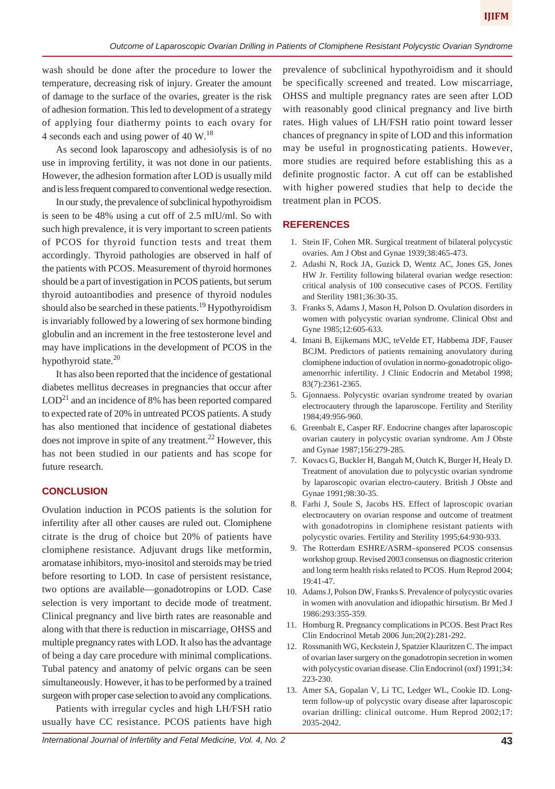wash should be done after the procedure to lower the temperature, decreasing risk of injury. Greater the amount of damage to the surface of the ovaries, greater is the risk of adhesion formation. This led to development of a strategy of applying four diathermy points to each ovary for 4 seconds each and using power of 40 W.<sup>18</sup>

As second look laparoscopy and adhesiolysis is of no use in improving fertility, it was not done in our patients. However, the adhesion formation after LOD is usually mild and is less frequent compared to conventional wedge resection.

In our study, the prevalence of subclinical hypothyroidism is seen to be 48% using a cut off of 2.5 mIU/ml. So with such high prevalence, it is very important to screen patients of PCOS for thyroid function tests and treat them accordingly. Thyroid pathologies are observed in half of the patients with PCOS. Measurement of thyroid hormones should be a part of investigation in PCOS patients, but serum thyroid autoantibodies and presence of thyroid nodules should also be searched in these patients.<sup>19</sup> Hypothyroidism is invariably followed by a lowering of sex hormone binding globulin and an increment in the free testosterone level and may have implications in the development of PCOS in the hypothyroid state.<sup>20</sup>

It has also been reported that the incidence of gestational diabetes mellitus decreases in pregnancies that occur after  $LOD<sup>21</sup>$  and an incidence of 8% has been reported compared to expected rate of 20% in untreated PCOS patients. A study has also mentioned that incidence of gestational diabetes does not improve in spite of any treatment.<sup>22</sup> However, this has not been studied in our patients and has scope for future research.

#### **CONCLUSION**

Ovulation induction in PCOS patients is the solution for infertility after all other causes are ruled out. Clomiphene citrate is the drug of choice but 20% of patients have clomiphene resistance. Adjuvant drugs like metformin, aromatase inhibitors, myo-inositol and steroids may be tried before resorting to LOD. In case of persistent resistance, two options are available—gonadotropins or LOD. Case selection is very important to decide mode of treatment. Clinical pregnancy and live birth rates are reasonable and along with that there is reduction in miscarriage, OHSS and multiple pregnancy rates with LOD. It also has the advantage of being a day care procedure with minimal complications. Tubal patency and anatomy of pelvic organs can be seen simultaneously. However, it has to be performed by a trained surgeon with proper case selection to avoid any complications.

Patients with irregular cycles and high LH/FSH ratio usually have CC resistance. PCOS patients have high

prevalence of subclinical hypothyroidism and it should be specifically screened and treated. Low miscarriage, OHSS and multiple pregnancy rates are seen after LOD with reasonably good clinical pregnancy and live birth rates. High values of LH/FSH ratio point toward lesser chances of pregnancy in spite of LOD and this information may be useful in prognosticating patients. However, more studies are required before establishing this as a definite prognostic factor. A cut off can be established with higher powered studies that help to decide the treatment plan in PCOS.

# **REFERENCES**

- 1. Stein IF, Cohen MR. Surgical treatment of bilateral polycystic ovaries. Am J Obst and Gynae 1939;38:465-473.
- 2. Adashi N, Rock JA, Guzick D, Wentz AC, Jones GS, Jones HW Jr. Fertility following bilateral ovarian wedge resection: critical analysis of 100 consecutive cases of PCOS. Fertility and Sterility 1981;36:30-35.
- 3. Franks S, Adams J, Mason H, Polson D. Ovulation disorders in women with polycystic ovarian syndrome. Clinical Obst and Gyne 1985;12:605-633.
- 4. Imani B, Eijkemans MJC, teVelde ET, Habbema JDF, Fauser BCJM. Predictors of patients remaining anovulatory during clomiphene induction of ovulation in normo-gonadotropic oligoamenorrhic infertility. J Clinic Endocrin and Metabol 1998; 83(7):2361-2365.
- 5. Gjonnaess. Polycystic ovarian syndrome treated by ovarian electrocautery through the laparoscope. Fertility and Sterility 1984;49:956-960.
- 6. Greenbalt E, Casper RF. Endocrine changes after laparoscopic ovarian cautery in polycystic ovarian syndrome. Am J Obste and Gynae 1987;156:279-285.
- 7. Kovacs G, Buckler H, Bangah M, Outch K, Burger H, Healy D. Treatment of anovulation due to polycystic ovarian syndrome by laparoscopic ovarian electro-cautery. British J Obste and Gynae 1991;98:30-35.
- 8. Farhi J, Soule S, Jacobs HS. Effect of laproscopic ovarian electrocautery on ovarian response and outcome of treatment with gonadotropins in clomiphene resistant patients with polycystic ovaries. Fertility and Sterility 1995;64:930-933.
- 9. The Rotterdam ESHRE/ASRM–sponsered PCOS consensus workshop group. Revised 2003 consensus on diagnostic criterion and long term health risks related to PCOS. Hum Reprod 2004; 19:41-47.
- 10. Adams J, Polson DW, Franks S. Prevalence of polycystic ovaries in women with anovulation and idiopathic hirsutism. Br Med J 1986:293:355-359.
- 11. Homburg R. Pregnancy complications in PCOS. Best Pract Res Clin Endocrinol Metab 2006 Jun;20(2):281-292.
- 12. Rossmanith WG, Keckstein J, Spatzier Klauritzen C. The impact of ovarian laser surgery on the gonadotropin secretion in women with polycystic ovarian disease. Clin Endocrinol (oxf) 1991;34: 223-230.
- 13. Amer SA, Gopalan V, Li TC, Ledger WL, Cookie ID. Longterm follow-up of polycystic ovary disease after laparoscopic ovarian drilling: clinical outcome. Hum Reprod 2002;17: 2035-2042.